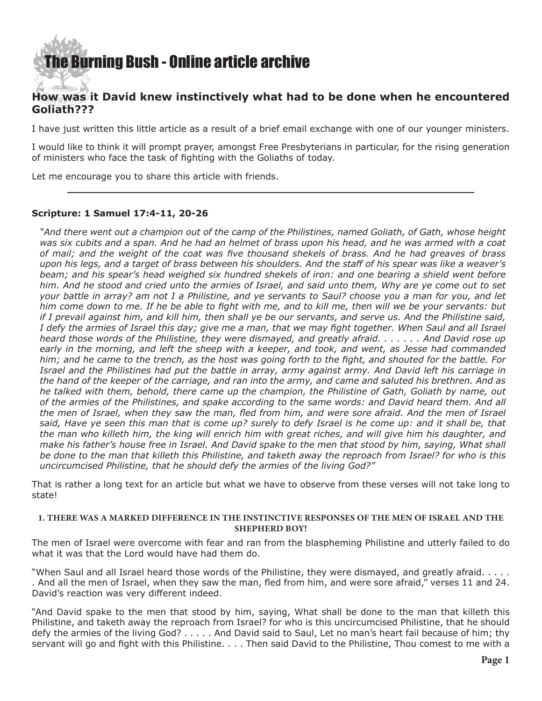## [The Burning Bush - Online article archive](http://www.ivanfoster.net)

### **How was it David knew instinctively what had to be done when he encountered Goliath???**

I have just written this little article as a result of a brief email exchange with one of our younger ministers.

I would like to think it will prompt prayer, amongst Free Presbyterians in particular, for the rising generation of ministers who face the task of fighting with the Goliaths of today.

Let me encourage you to share this article with friends.

### **Scripture: 1 Samuel 17:4-11, 20-26**

*"And there went out a champion out of the camp of the Philistines, named Goliath, of Gath, whose height was six cubits and a span. And he had an helmet of brass upon his head, and he was armed with a coat of mail; and the weight of the coat was five thousand shekels of brass. And he had greaves of brass upon his legs, and a target of brass between his shoulders. And the staff of his spear was like a weaver's beam; and his spear's head weighed six hundred shekels of iron: and one bearing a shield went before him. And he stood and cried unto the armies of Israel, and said unto them, Why are ye come out to set your battle in array? am not I a Philistine, and ye servants to Saul? choose you a man for you, and let him come down to me. If he be able to fight with me, and to kill me, then will we be your servants: but if I prevail against him, and kill him, then shall ye be our servants, and serve us. And the Philistine said, I defy the armies of Israel this day; give me a man, that we may fight together. When Saul and all Israel heard those words of the Philistine, they were dismayed, and greatly afraid. . . . . . . And David rose up early in the morning, and left the sheep with a keeper, and took, and went, as Jesse had commanded him; and he came to the trench, as the host was going forth to the fight, and shouted for the battle. For Israel and the Philistines had put the battle in array, army against army. And David left his carriage in the hand of the keeper of the carriage, and ran into the army, and came and saluted his brethren. And as he talked with them, behold, there came up the champion, the Philistine of Gath, Goliath by name, out of the armies of the Philistines, and spake according to the same words: and David heard them. And all the men of Israel, when they saw the man, fled from him, and were sore afraid. And the men of Israel*  said, Have ye seen this man that is come up? surely to defy Israel is he come up: and it shall be, that *the man who killeth him, the king will enrich him with great riches, and will give him his daughter, and make his father's house free in Israel. And David spake to the men that stood by him, saying, What shall be done to the man that killeth this Philistine, and taketh away the reproach from Israel? for who is this uncircumcised Philistine, that he should defy the armies of the living God?"*

That is rather a long text for an article but what we have to observe from these verses will not take long to state!

### **1. THERE WAS A MARKED DIFFERENCE IN THE INSTINCTIVE RESPONSES OF THE MEN OF ISRAEL AND THE SHEPHERD BOY!**

The men of Israel were overcome with fear and ran from the blaspheming Philistine and utterly failed to do what it was that the Lord would have had them do.

"When Saul and all Israel heard those words of the Philistine, they were dismayed, and greatly afraid. . . . . . And all the men of Israel, when they saw the man, fled from him, and were sore afraid," verses 11 and 24. David's reaction was very different indeed.

"And David spake to the men that stood by him, saying, What shall be done to the man that killeth this Philistine, and taketh away the reproach from Israel? for who is this uncircumcised Philistine, that he should defy the armies of the living God? . . . . . And David said to Saul, Let no man's heart fail because of him; thy servant will go and fight with this Philistine. . . . Then said David to the Philistine, Thou comest to me with a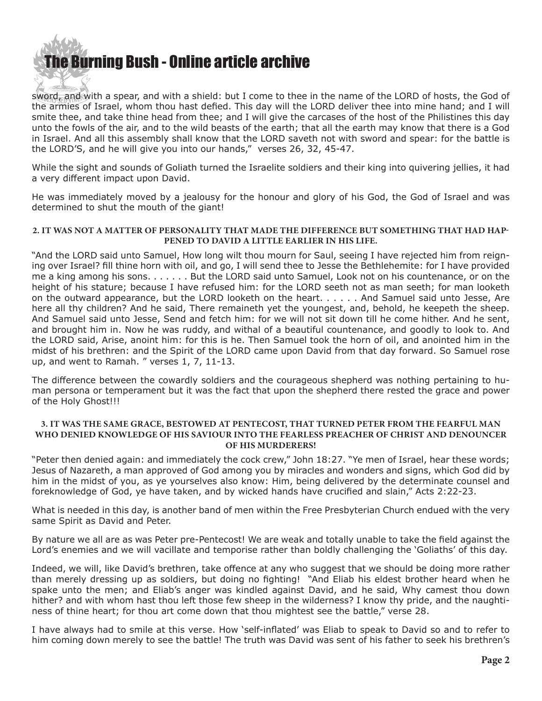# [The Bur](http://www.ivanfoster.net)ning Bush - Online article archive

sword, and with a spear, and with a shield: but I come to thee in the name of the LORD of hosts, the God of the armies of Israel, whom thou hast defied. This day will the LORD deliver thee into mine hand; and I will smite thee, and take thine head from thee; and I will give the carcases of the host of the Philistines this day unto the fowls of the air, and to the wild beasts of the earth; that all the earth may know that there is a God in Israel. And all this assembly shall know that the LORD saveth not with sword and spear: for the battle is the LORD'S, and he will give you into our hands," verses 26, 32, 45-47.

While the sight and sounds of Goliath turned the Israelite soldiers and their king into quivering jellies, it had a very different impact upon David.

He was immediately moved by a jealousy for the honour and glory of his God, the God of Israel and was determined to shut the mouth of the giant!

### **2. IT WAS NOT A MATTER OF PERSONALITY THAT MADE THE DIFFERENCE BUT SOMETHING THAT HAD HAP-PENED TO DAVID A LITTLE EARLIER IN HIS LIFE.**

"And the LORD said unto Samuel, How long wilt thou mourn for Saul, seeing I have rejected him from reigning over Israel? fill thine horn with oil, and go, I will send thee to Jesse the Bethlehemite: for I have provided me a king among his sons. . . . . . . But the LORD said unto Samuel, Look not on his countenance, or on the height of his stature; because I have refused him: for the LORD seeth not as man seeth; for man looketh on the outward appearance, but the LORD looketh on the heart. . . . . . And Samuel said unto Jesse, Are here all thy children? And he said, There remaineth yet the youngest, and, behold, he keepeth the sheep. And Samuel said unto Jesse, Send and fetch him: for we will not sit down till he come hither. And he sent, and brought him in. Now he was ruddy, and withal of a beautiful countenance, and goodly to look to. And the LORD said, Arise, anoint him: for this is he. Then Samuel took the horn of oil, and anointed him in the midst of his brethren: and the Spirit of the LORD came upon David from that day forward. So Samuel rose up, and went to Ramah. " verses 1, 7, 11-13.

The difference between the cowardly soldiers and the courageous shepherd was nothing pertaining to human persona or temperament but it was the fact that upon the shepherd there rested the grace and power of the Holy Ghost!!!

#### **3. IT WAS THE SAME GRACE, BESTOWED AT PENTECOST, THAT TURNED PETER FROM THE FEARFUL MAN WHO DENIED KNOWLEDGE OF HIS SAVIOUR INTO THE FEARLESS PREACHER OF CHRIST AND DENOUNCER OF HIS MURDERERS!**

"Peter then denied again: and immediately the cock crew," John 18:27. "Ye men of Israel, hear these words; Jesus of Nazareth, a man approved of God among you by miracles and wonders and signs, which God did by him in the midst of you, as ye yourselves also know: Him, being delivered by the determinate counsel and foreknowledge of God, ye have taken, and by wicked hands have crucified and slain," Acts 2:22-23.

What is needed in this day, is another band of men within the Free Presbyterian Church endued with the very same Spirit as David and Peter.

By nature we all are as was Peter pre-Pentecost! We are weak and totally unable to take the field against the Lord's enemies and we will vacillate and temporise rather than boldly challenging the 'Goliaths' of this day.

Indeed, we will, like David's brethren, take offence at any who suggest that we should be doing more rather than merely dressing up as soldiers, but doing no fighting! "And Eliab his eldest brother heard when he spake unto the men; and Eliab's anger was kindled against David, and he said, Why camest thou down hither? and with whom hast thou left those few sheep in the wilderness? I know thy pride, and the naughtiness of thine heart; for thou art come down that thou mightest see the battle," verse 28.

I have always had to smile at this verse. How 'self-inflated' was Eliab to speak to David so and to refer to him coming down merely to see the battle! The truth was David was sent of his father to seek his brethren's